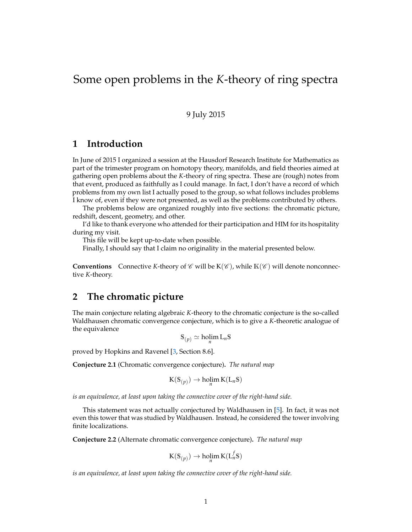# Some open problems in the *K*-theory of ring spectra

#### 9 July 2015

## **1 Introduction**

In June of 2015 I organized a session at the Hausdorf Research Institute for Mathematics as part of the trimester program on homotopy theory, manifolds, and field theories aimed at gathering open problems about the *K*-theory of ring spectra. These are (rough) notes from that event, produced as faithfully as I could manage. In fact, I don't have a record of which problems from my own list I actually posed to the group, so what follows includes problems I know of, even if they were not presented, as well as the problems contributed by others.

The problems below are organized roughly into five sections: the chromatic picture, redshift, descent, geometry, and other.

I'd like to thank everyone who attended for their participation and HIM for its hospitality during my visit.

This file will be kept up-to-date when possible.

Finally, I should say that I claim no originality in the material presented below.

**Conventions** Connective *K*-theory of  $\mathscr C$  will be  $K(\mathscr C)$ , while  $K(\mathscr C)$  will denote nonconnective *K*-theory.

## **2 The chromatic picture**

The main conjecture relating algebraic *K*-theory to the chromatic conjecture is the so-called Waldhausen chromatic convergence conjecture, which is to give a *K*-theoretic analogue of the equivalence

$$
\mathbb{S}_{(p)} \simeq \text{holim}\, \mathcal{L}_n \mathbb{S}
$$

proved by Hopkins and Ravenel [\[3,](#page-2-0) Section 8.6].

<span id="page-0-0"></span>**Conjecture 2.1** (Chromatic convergence conjecture)**.** *The natural map*

$$
K(S_{(p)}) \to \underset{n}{\text{holim}}\, K(L_nS)
$$

*is an equivalence, at least upon taking the connective cover of the right-hand side.*

This statement was not actually conjectured by Waldhausen in [\[5\]](#page-2-1). In fact, it was not even this tower that was studied by Waldhausen. Instead, he considered the tower involving finite localizations.

**Conjecture 2.2** (Alternate chromatic convergence conjecture)**.** *The natural map*

$$
\mathsf{K}(\mathsf{S}_{(p)}) \to \operatorname{holim}_n \mathsf{K}(\mathsf{L}_n^f \mathsf{S})
$$

*is an equivalence, at least upon taking the connective cover of the right-hand side.*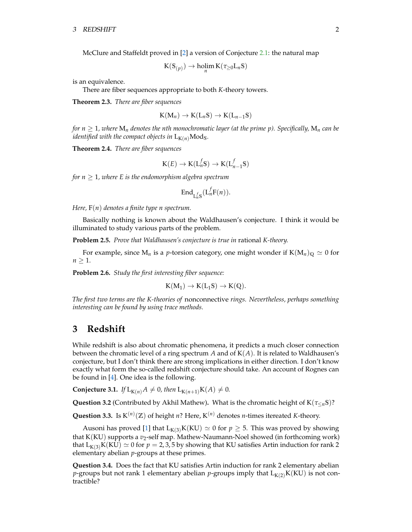McClure and Staffeldt proved in [\[2\]](#page-2-2) a version of Conjecture [2.1:](#page-0-0) the natural map

$$
K(S_{(p)}) \to \underset{n}{\text{holim}}\, K(\tau_{\geq 0}L_n S)
$$

is an equivalence.

There are fiber sequences appropriate to both *K*-theory towers.

**Theorem 2.3.** *There are fiber sequences*

$$
K(M_n) \to K(L_n\mathbb{S}) \to K(L_{n-1}\mathbb{S})
$$

*for*  $n \geq 1$ , where  $M_n$  denotes the *nth monochromatic layer* (at the prime p). Specifically,  $M_n$  can be *identified with the compact objects in*  $L_{K(n)}Mod_S$ .

**Theorem 2.4.** *There are fiber sequences*

$$
K(E) \to K(L_n^fS) \to K(L_{n-1}^fS)
$$

*for*  $n \geq 1$ *, where E is the endomorphism algebra spectrum* 

$$
\mathrm{End}_{\mathrm{L}_{n}^{f}\mathrm{S}}(\mathrm{L}_{n}^{f}\mathrm{F}(n)).
$$

*Here,* F(*n*) *denotes a finite type n spectrum.*

Basically nothing is known about the Waldhausen's conjecture. I think it would be illuminated to study various parts of the problem.

**Problem 2.5.** *Prove that Waldhausen's conjecture is true in* rational *K-theory.*

For example, since  $M_n$  is a *p*-torsion category, one might wonder if  $K(M_n)_{\mathbb{Q}} \simeq 0$  for  $n \geq 1$ .

**Problem 2.6.** *Study the first interesting fiber sequence:*

$$
K(M_1)\to K(L_1\mathbb{S})\to K(\mathbb{Q}).
$$

*The first two terms are the K-theories of* nonconnective *rings. Nevertheless, perhaps something interesting can be found by using trace methods.*

#### **3 Redshift**

While redshift is also about chromatic phenomena, it predicts a much closer connection between the chromatic level of a ring spectrum  $A$  and of  $K(A)$ . It is related to Waldhausen's conjecture, but I don't think there are strong implications in either direction. I don't know exactly what form the so-called redshift conjecture should take. An account of Rognes can be found in [\[4\]](#page-2-3). One idea is the following.

**Conjecture 3.1.** *If*  $L_{K(n)}A \neq 0$ *, then*  $L_{K(n+1)}K(A) \neq 0$ *.* 

**Question 3.2** (Contributed by Akhil Mathew)**.** What is the chromatic height of K(*τ*≤*n*S)?

**Question 3.3.** Is  $K^{(n)}(\mathbb{Z})$  of height *n*? Here,  $K^{(n)}$  denotes *n*-times itereated *K*-theory.

Ausoni has proved [\[1\]](#page-2-4) that  $L_{K(3)}K(KU) \simeq 0$  for  $p \geq 5$ . This was proved by showing that K(KU) supports a *v*2-self map. Mathew-Naumann-Noel showed (in forthcoming work) that  $L_{K(3)}K(KU) \simeq 0$  for  $p = 2,3,5$  by showing that KU satisfies Artin induction for rank 2 elementary abelian *p*-groups at these primes.

**Question 3.4.** Does the fact that KU satisfies Artin induction for rank 2 elementary abelian *p*-groups but not rank 1 elementary abelian *p*-groups imply that  $L_{K(2)}K(KU)$  is not contractible?